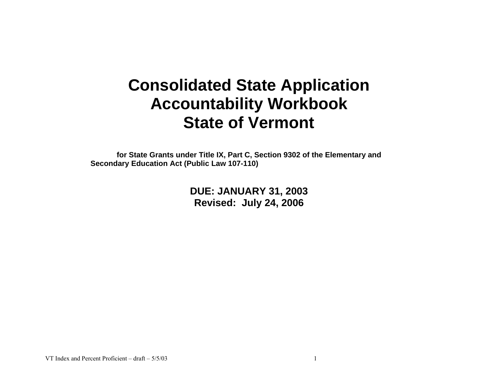# **Consolidated State Application Accountability Workbook State of Vermont**

**for State Grants under Title IX, Part C, Section 9302 of the Elementary and Secondary Education Act (Public Law 107-110)** 

> **DUE: JANUARY 31, 2003 Revised: July 24, 2006**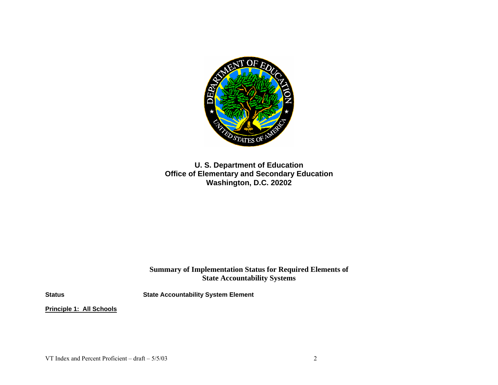

**U. S. Department of Education Office of Elementary and Secondary Education Washington, D.C. 20202** 

**Summary of Implementation Status for Required Elements of State Accountability Systems**

**Status State Accountability System Element** 

**Principle 1: All Schools**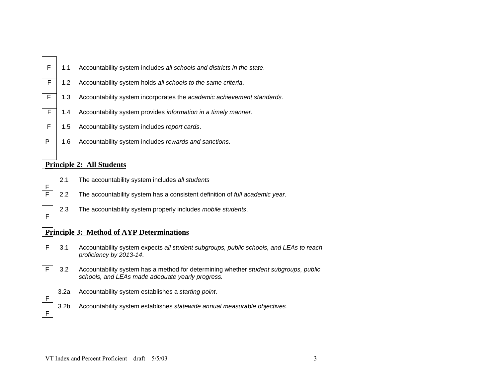|  | $F \mid 1.1$ Accountability system includes all schools and districts in the state. |
|--|-------------------------------------------------------------------------------------|
|  |                                                                                     |

- F 1.2 Accountability system holds *all schools to the same criteria*.
- F 1.3 Accountability system incorporates the *academic achievement standards*.
- F 1.4 Accountability system provides *information in a timely manner*.
- F 1.5 Accountability system includes *report cards*.
- P 1.6 Accountability system includes *rewards and sanctions*.

#### **Principle 2: All Students**

F

F

F

F

- 2.1 The accountability system includes *all students*
- F 2.2 The accountability system has a consistent definition of *full academic year*.
	- 2.3 The accountability system properly includes *mobile students*.

#### **Principle 3: Method of AYP Determinations**

- F 3.1 Accountability system expects *all student subgroups, public schools, and LEAs to reach proficiency by 2013-14*.
- F 3.2 Accountability system has a method for determining whether *student subgroups, public schools, and LEAs made adequate yearly progress.* 
	- 3.2a Accountability system establishes a *starting point*.
	- 3.2b Accountability system establishes *statewide annual measurable objectives*.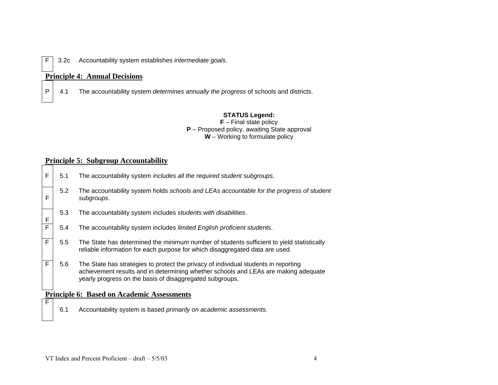F 3.2c Accountability system establishes *intermediate goals*.

#### **Principle 4: Annual Decisions**

P 4.1 The accountability system *determines annually the progress* of schools and districts.

#### **STATUS Legend:**

**F** – Final state policy **P** – Proposed policy, awaiting State approval **W** – Working to formulate policy

# **Principle 5: Subgroup Accountability**

| F              | 5.1           | The accountability system includes all the required student subgroups.                                                                                                                                                                 |
|----------------|---------------|----------------------------------------------------------------------------------------------------------------------------------------------------------------------------------------------------------------------------------------|
| F              | 5.2           | The accountability system holds schools and LEAs accountable for the progress of student<br>subgroups.                                                                                                                                 |
| F              | 5.3           | The accountability system includes students with disabilities.                                                                                                                                                                         |
| $\overline{F}$ | 5.4           | The accountability system includes limited English proficient students.                                                                                                                                                                |
| F              | $5.5^{\circ}$ | The State has determined the minimum number of students sufficient to yield statistically<br>reliable information for each purpose for which disaggregated data are used.                                                              |
| F              | 5.6           | The State has strategies to protect the privacy of individual students in reporting<br>achievement results and in determining whether schools and LEAs are making adequate<br>yearly progress on the basis of disaggregated subgroups. |
|                |               | <b>Principle 6: Based on Academic Assessments</b>                                                                                                                                                                                      |
| $\mathsf{F}$   |               |                                                                                                                                                                                                                                        |
|                | 6.1           | Accountability system is based primarily on academic assessments.                                                                                                                                                                      |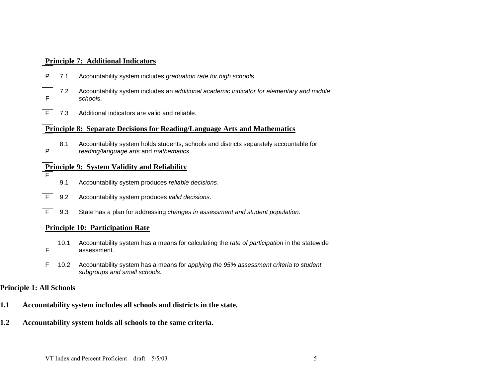|                |      | <b>Principle 7: Additional Indicators</b>                                                                                        |  |  |  |  |  |  |  |  |
|----------------|------|----------------------------------------------------------------------------------------------------------------------------------|--|--|--|--|--|--|--|--|
| $\mathsf{P}$   | 7.1  | Accountability system includes graduation rate for high schools.                                                                 |  |  |  |  |  |  |  |  |
| $\mathsf{F}$   | 7.2  | Accountability system includes an additional academic indicator for elementary and middle<br>schools.                            |  |  |  |  |  |  |  |  |
| $\overline{F}$ | 7.3  | Additional indicators are valid and reliable.                                                                                    |  |  |  |  |  |  |  |  |
|                |      | <b>Principle 8: Separate Decisions for Reading/Language Arts and Mathematics</b>                                                 |  |  |  |  |  |  |  |  |
| $\mathsf{P}$   | 8.1  | Accountability system holds students, schools and districts separately accountable for<br>reading/language arts and mathematics. |  |  |  |  |  |  |  |  |
|                |      | <b>Principle 9: System Validity and Reliability</b>                                                                              |  |  |  |  |  |  |  |  |
| $\overline{F}$ | 9.1  | Accountability system produces reliable decisions.                                                                               |  |  |  |  |  |  |  |  |
| $\mathsf F$    | 9.2  | Accountability system produces valid decisions.                                                                                  |  |  |  |  |  |  |  |  |
| F              | 9.3  | State has a plan for addressing changes in assessment and student population.                                                    |  |  |  |  |  |  |  |  |
|                |      | <b>Principle 10: Participation Rate</b>                                                                                          |  |  |  |  |  |  |  |  |
| F              | 10.1 | Accountability system has a means for calculating the rate of participation in the statewide<br>assessment.                      |  |  |  |  |  |  |  |  |
| $\overline{F}$ | 10.2 | Accountability system has a means for applying the 95% assessment criteria to student<br>subgroups and small schools.            |  |  |  |  |  |  |  |  |
|                |      |                                                                                                                                  |  |  |  |  |  |  |  |  |

# **Principle 1: All Schools**

- **1.1 Accountability system includes all schools and districts in the state.**
- **1.2 Accountability system holds all schools to the same criteria.**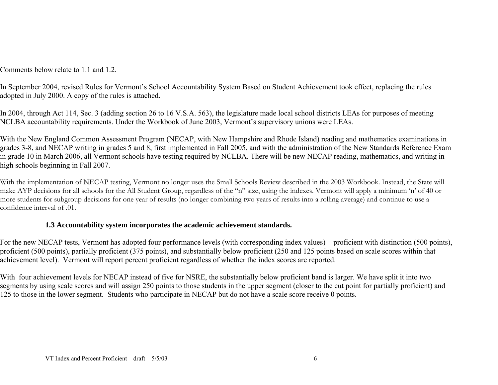Comments below relate to 1.1 and 1.2.

In September 2004, revised Rules for Vermont's School Accountability System Based on Student Achievement took effect, replacing the rules adopted in July 2000. A copy of the rules is attached.

In 2004, through Act 114, Sec. 3 (adding section 26 to 16 V.S.A. 563), the legislature made local school districts LEAs for purposes of meeting NCLBA accountability requirements. Under the Workbook of June 2003, Vermont's supervisory unions were LEAs.

With the New England Common Assessment Program (NECAP, with New Hampshire and Rhode Island) reading and mathematics examinations in grades 3-8, and NECAP writing in grades 5 and 8, first implemented in Fall 2005, and with the administration of the New Standards Reference Exam in grade 10 in March 2006, all Vermont schools have testing required by NCLBA. There will be new NECAP reading, mathematics, and writing in high schools beginning in Fall 2007.

With the implementation of NECAP testing, Vermont no longer uses the Small Schools Review described in the 2003 Workbook. Instead, the State will make AYP decisions for all schools for the All Student Group, regardless of the "n" size, using the indexes. Vermont will apply a minimum 'n' of 40 or more students for subgroup decisions for one year of results (no longer combining two years of results into a rolling average) and continue to use a confidence interval of .01.

# **1.3 Accountability system incorporates the academic achievement standards.**

For the new NECAP tests, Vermont has adopted four performance levels (with corresponding index values) − proficient with distinction (500 points), proficient (500 points), partially proficient (375 points), and substantially below proficient (250 and 125 points based on scale scores within that achievement level). Vermont will report percent proficient regardless of whether the index scores are reported.

With four achievement levels for NECAP instead of five for NSRE, the substantially below proficient band is larger. We have split it into two segments by using scale scores and will assign 250 points to those students in the upper segment (closer to the cut point for partially proficient) and 125 to those in the lower segment. Students who participate in NECAP but do not have a scale score receive 0 points.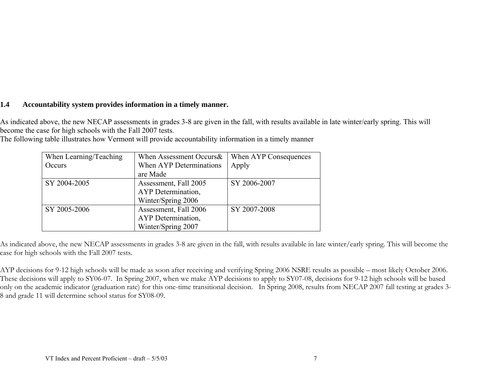# **1.4 Accountability system provides information in a timely manner.**

As indicated above, the new NECAP assessments in grades 3-8 are given in the fall, with results available in late winter/early spring. This will become the case for high schools with the Fall 2007 tests.

| The following table illustrates how Vermont will provide accountability information in a timely manner |  |  |
|--------------------------------------------------------------------------------------------------------|--|--|
|--------------------------------------------------------------------------------------------------------|--|--|

| When Learning/Teaching | When Assessment Occurs& | When AYP Consequences |  |
|------------------------|-------------------------|-----------------------|--|
| Occurs                 | When AYP Determinations | Apply                 |  |
|                        | are Made                |                       |  |
| SY 2004-2005           | Assessment, Fall 2005   | SY 2006-2007          |  |
|                        | AYP Determination,      |                       |  |
|                        | Winter/Spring 2006      |                       |  |
| SY 2005-2006           | Assessment, Fall 2006   | SY 2007-2008          |  |
|                        | AYP Determination,      |                       |  |
|                        | Winter/Spring 2007      |                       |  |

As indicated above, the new NECAP assessments in grades 3-8 are given in the fall, with results available in late winter/early spring. This will become the case for high schools with the Fall 2007 tests.

AYP decisions for 9-12 high schools will be made as soon after receiving and verifying Spring 2006 NSRE results as possible – most likely October 2006. These decisions will apply to SY06-07. In Spring 2007, when we make AYP decisions to apply to SY07-08, decisions for 9-12 high schools will be based only on the academic indicator (graduation rate) for this one-time transitional decision. In Spring 2008, results from NECAP 2007 fall testing at grades 3- 8 and grade 11 will determine school status for SY08-09.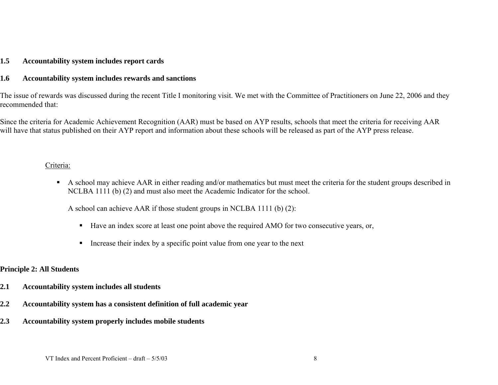#### **1.5 Accountability system includes report cards**

#### **1.6 Accountability system includes rewards and sanctions**

The issue of rewards was discussed during the recent Title I monitoring visit. We met with the Committee of Practitioners on June 22, 2006 and they recommended that:

Since the criteria for Academic Achievement Recognition (AAR) must be based on AYP results, schools that meet the criteria for receiving AAR will have that status published on their AYP report and information about these schools will be released as part of the AYP press release.

#### Criteria:

A school may achieve AAR in either reading and/or mathematics but must meet the criteria for the student groups described in NCLBA 1111 (b) (2) and must also meet the Academic Indicator for the school.

A school can achieve AAR if those student groups in NCLBA 1111 (b) (2):

- Have an index score at least one point above the required AMO for two consecutive years, or,
- . Increase their index by a specific point value from one year to the next

# **Principle 2: All Students**

- **2.1 Accountability system includes all students**
- **2.2 Accountability system has a consistent definition of full academic year**
- **2.3 Accountability system properly includes mobile students**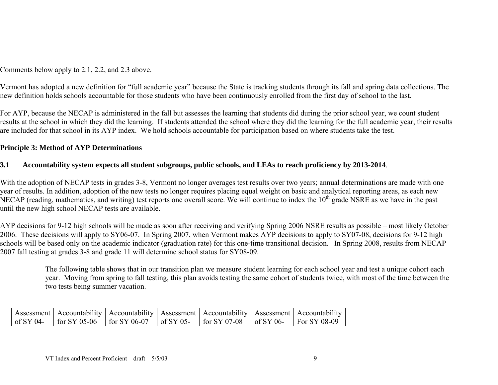Comments below apply to 2.1, 2.2, and 2.3 above.

Vermont has adopted a new definition for "full academic year" because the State is tracking students through its fall and spring data collections. The new definition holds schools accountable for those students who have been continuously enrolled from the first day of school to the last.

For AYP, because the NECAP is administered in the fall but assesses the learning that students did during the prior school year, we count student results at the school in which they did the learning. If students attended the school where they did the learning for the full academic year, their results are included for that school in its AYP index. We hold schools accountable for participation based on where students take the test.

# **Principle 3: Method of AYP Determinations**

# **3.1 Accountability system expects all student subgroups, public schools, and LEAs to reach proficiency by 2013-2014**.

With the adoption of NECAP tests in grades 3-8, Vermont no longer averages test results over two years; annual determinations are made with one year of results. In addition, adoption of the new tests no longer requires placing equal weight on basic and analytical reporting areas, as each new NECAP (reading, mathematics, and writing) test reports one overall score. We will continue to index the 10<sup>th</sup> grade NSRE as we have in the past until the new high school NECAP tests are available.

AYP decisions for 9-12 high schools will be made as soon after receiving and verifying Spring 2006 NSRE results as possible – most likely October 2006. These decisions will apply to SY06-07. In Spring 2007, when Vermont makes AYP decisions to apply to SY07-08, decisions for 9-12 high schools will be based only on the academic indicator (graduation rate) for this one-time transitional decision. In Spring 2008, results from NECAP 2007 fall testing at grades 3-8 and grade 11 will determine school status for SY08-09.

The following table shows that in our transition plan we measure student learning for each school year and test a unique cohort each year. Moving from spring to fall testing, this plan avoids testing the same cohort of students twice, with most of the time between the two tests being summer vacation.

|  |  |  | Assessment   Accountability   Accountability   Assessment   Accountability   Assessment   Accountability |
|--|--|--|----------------------------------------------------------------------------------------------------------|
|  |  |  | of SY 04-   for SY 05-06   for SY 06-07   of SY 05-   for SY 07-08   of SY 06-   For SY 08-09            |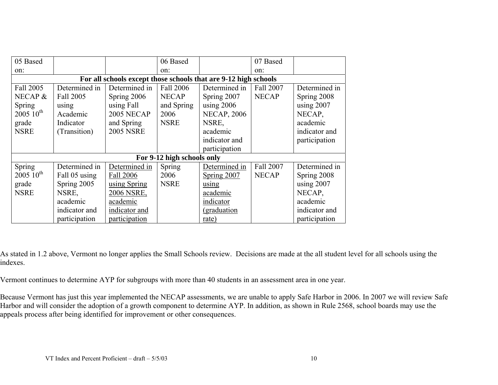| 05 Based                                                        |                                              |               | 06 Based                   |                            | 07 Based      |               |  |  |  |  |
|-----------------------------------------------------------------|----------------------------------------------|---------------|----------------------------|----------------------------|---------------|---------------|--|--|--|--|
| on:                                                             |                                              |               | on:                        |                            | on:           |               |  |  |  |  |
| For all schools except those schools that are 9-12 high schools |                                              |               |                            |                            |               |               |  |  |  |  |
| Fall 2005                                                       | Determined in                                | Determined in | Fall 2006                  | Determined in              | Fall 2007     | Determined in |  |  |  |  |
| NECAP $\&$                                                      | Fall 2005                                    | Spring 2006   | <b>NECAP</b>               | Spring 2007                | <b>NECAP</b>  | Spring 2008   |  |  |  |  |
| Spring                                                          | using                                        | using Fall    | and Spring                 | using $2006$               |               | using 2007    |  |  |  |  |
| $200510^{th}$                                                   | Academic                                     | 2005 NECAP    | 2006                       | <b>NECAP, 2006</b>         |               | NECAP,        |  |  |  |  |
| grade                                                           | Indicator                                    | and Spring    | <b>NSRE</b>                | NSRE,                      |               | academic      |  |  |  |  |
| <b>NSRE</b>                                                     | <b>2005 NSRE</b><br>academic<br>(Transition) |               |                            |                            | indicator and |               |  |  |  |  |
|                                                                 |                                              |               |                            | indicator and              |               | participation |  |  |  |  |
|                                                                 |                                              |               |                            | participation              |               |               |  |  |  |  |
|                                                                 |                                              |               | For 9-12 high schools only |                            |               |               |  |  |  |  |
| Spring                                                          | Determined in                                | Determined in | Spring                     | Determined in              | Fall 2007     | Determined in |  |  |  |  |
| $200510^{th}$                                                   | Fall 05 using                                | Fall 2006     | 2006                       | Spring $2007$              | <b>NECAP</b>  | Spring 2008   |  |  |  |  |
| grade                                                           | Spring 2005                                  | using Spring  | <b>NSRE</b>                | using                      |               | using $2007$  |  |  |  |  |
| <b>NSRE</b>                                                     | NSRE,                                        | 2006 NSRE,    |                            | academic                   |               | NECAP,        |  |  |  |  |
|                                                                 | academic                                     | academic      |                            | indicator                  |               | academic      |  |  |  |  |
|                                                                 | indicator and                                | indicator and |                            | <i><u>(graduation)</u></i> |               | indicator and |  |  |  |  |
|                                                                 | participation                                | participation |                            | rate)                      |               | participation |  |  |  |  |

As stated in 1.2 above, Vermont no longer applies the Small Schools review. Decisions are made at the all student level for all schools using the indexes.

Vermont continues to determine AYP for subgroups with more than 40 students in an assessment area in one year.

Because Vermont has just this year implemented the NECAP assessments, we are unable to apply Safe Harbor in 2006. In 2007 we will review Safe Harbor and will consider the adoption of a growth component to determine AYP. In addition, as shown in Rule 2568, school boards may use the appeals process after being identified for improvement or other consequences.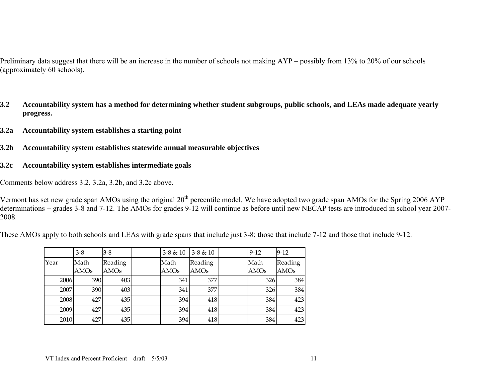Preliminary data suggest that there will be an increase in the number of schools not making AYP – possibly from 13% to 20% of our schools (approximately 60 schools).

- **3.2 Accountability system has a method for determining whether student subgroups, public schools, and LEAs made adequate yearly progress.**
- **3.2a Accountability system establishes a starting point**
- **3.2b Accountability system establishes statewide annual measurable objectives**
- **3.2c Accountability system establishes intermediate goals**

Comments below address 3.2, 3.2a, 3.2b, and 3.2c above.

Vermont has set new grade span AMOs using the original  $20<sup>th</sup>$  percentile model. We have adopted two grade span AMOs for the Spring 2006 AYP determinations − grades 3-8 and 7-12. The AMOs for grades 9-12 will continue as before until new NECAP tests are introduced in school year 2007- 2008.

These AMOs apply to both schools and LEAs with grade spans that include just 3-8; those that include 7-12 and those that include 9-12.

|      | $3 - 8$     | $3-8$   | $3-8 & 10$       | $3-8 & 10$  | $9 - 12$    | $9-12$      |
|------|-------------|---------|------------------|-------------|-------------|-------------|
| Year | Math        | Reading | Math             | Reading     | Math        | Reading     |
|      | <b>AMOs</b> | AMOs    | <b>AMOs</b>      | <b>AMOs</b> | <b>AMOs</b> | <b>AMOs</b> |
| 2006 | 390         | 403     | 341 <sup>I</sup> | 377         | 326         | 384         |
| 2007 | 390         | 403     | 341              | 377         | 326         | 384         |
| 2008 | 427         | 435     | 394              | 418         | 384         | 423         |
| 2009 | 427         | 435     | 394              | 418         | 384         | 423         |
| 2010 | 427         | 435     | 394              | 418         | 384         | 423         |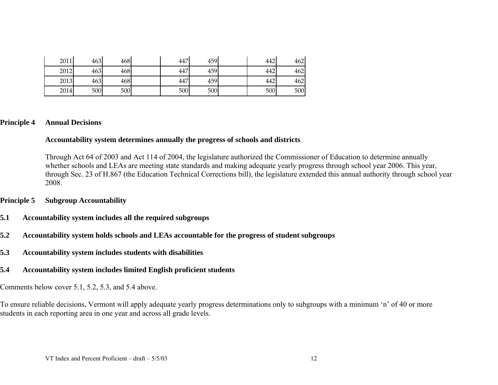| 2011 | 463 | 468 | 447 | 459 | 442 | 462 |
|------|-----|-----|-----|-----|-----|-----|
| 2012 | 463 | 468 | 447 | 459 | 442 | 462 |
| 2013 | 463 | 468 | 447 | 459 | 442 | 462 |
| 2014 | 500 | 500 | 500 | 500 | 500 | 500 |

#### **Principle 4 Annual Decisions**

#### **Accountability system determines annually the progress of schools and districts**

Through Act 64 of 2003 and Act 114 of 2004, the legislature authorized the Commissioner of Education to determine annually whether schools and LEAs are meeting state standards and making adequate yearly progress through school year 2006. This year, through Sec. 23 of H.867 (the Education Technical Corrections bill), the legislature extended this annual authority through school year 2008.

#### **Principle 5 Subgroup Accountability**

- **5.1 Accountability system includes all the required subgroups**
- **5.2 Accountability system holds schools and LEAs accountable for the progress of student subgroups**
- **5.3 Accountability system includes students with disabilities**
- **5.4 Accountability system includes limited English proficient students**

Comments below cover 5.1, 5.2, 5.3, and 5.4 above.

To ensure reliable decisions, Vermont will apply adequate yearly progress determinations only to subgroups with a minimum 'n' of 40 or more students in each reporting area in one year and across all grade levels.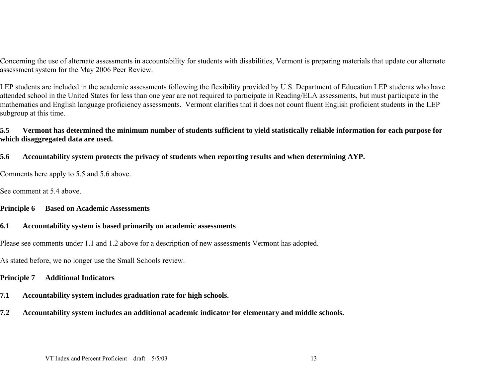Concerning the use of alternate assessments in accountability for students with disabilities, Vermont is preparing materials that update our alternate assessment system for the May 2006 Peer Review.

LEP students are included in the academic assessments following the flexibility provided by U.S. Department of Education LEP students who have attended school in the United States for less than one year are not required to participate in Reading/ELA assessments, but must participate in the mathematics and English language proficiency assessments. Vermont clarifies that it does not count fluent English proficient students in the LEP subgroup at this time.

#### **5.5 Vermont has determined the minimum number of students sufficient to yield statistically reliable information for each purpose for which disaggregated data are used.**

#### **5.6 Accountability system protects the privacy of students when reporting results and when determining AYP.**

Comments here apply to 5.5 and 5.6 above.

See comment at 5.4 above.

#### **Principle 6 Based on Academic Assessments**

#### **6.1 Accountability system is based primarily on academic assessments**

Please see comments under 1.1 and 1.2 above for a description of new assessments Vermont has adopted.

As stated before, we no longer use the Small Schools review.

#### **Principle 7 Additional Indicators**

- **7.1 Accountability system includes graduation rate for high schools.**
- **7.2 Accountability system includes an additional academic indicator for elementary and middle schools.**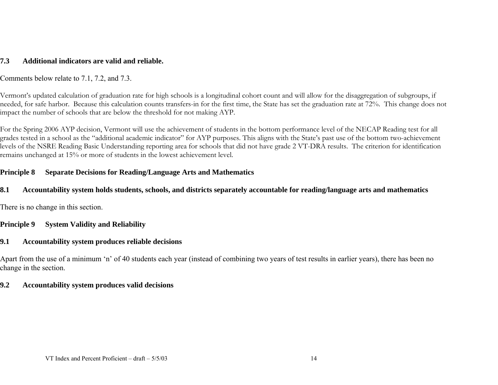## **7.3 Additional indicators are valid and reliable.**

Comments below relate to 7.1, 7.2, and 7.3.

Vermont's updated calculation of graduation rate for high schools is a longitudinal cohort count and will allow for the disaggregation of subgroups, if needed, for safe harbor. Because this calculation counts transfers-in for the first time, the State has set the graduation rate at 72%. This change does not impact the number of schools that are below the threshold for not making AYP.

For the Spring 2006 AYP decision, Vermont will use the achievement of students in the bottom performance level of the NECAP Reading test for all grades tested in a school as the "additional academic indicator" for AYP purposes. This aligns with the State's past use of the bottom two-achievement levels of the NSRE Reading Basic Understanding reporting area for schools that did not have grade 2 VT-DRA results. The criterion for identification remains unchanged at 15% or more of students in the lowest achievement level.

# **Principle 8 Separate Decisions for Reading/Language Arts and Mathematics**

#### **8.1 Accountability system holds students, schools, and districts separately accountable for reading/language arts and mathematics**

There is no change in this section.

# **Principle 9 System Validity and Reliability**

#### **9.1 Accountability system produces reliable decisions**

Apart from the use of a minimum 'n' of 40 students each year (instead of combining two years of test results in earlier years), there has been no change in the section.

### **9.2 Accountability system produces valid decisions**